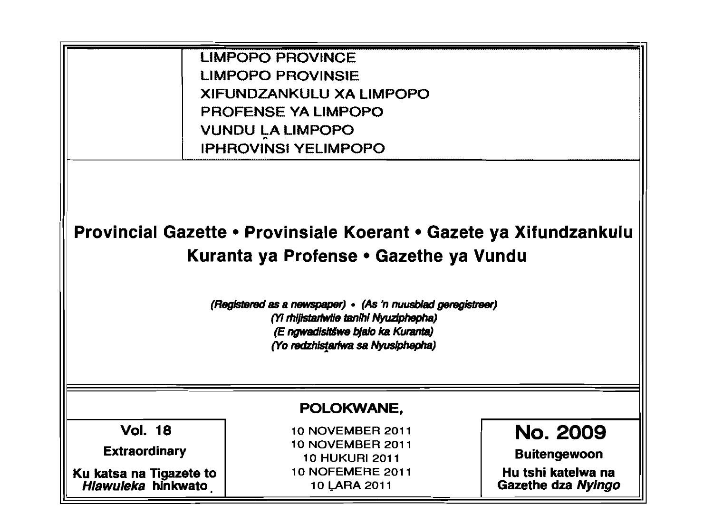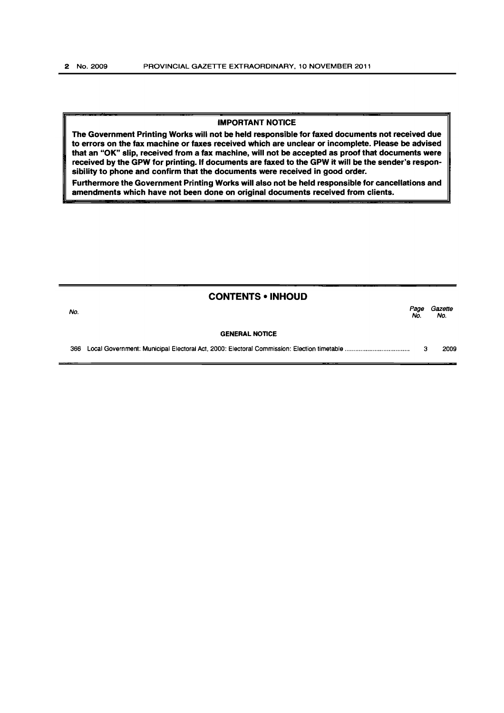## IMPORTANT NOTICE

The Government Printing Works will not be held responsible for faxed documents not received due to errors on the fax machine or faxes received which are unclear or incomplete. Please be advised that an "OK" slip, received from a fax machine, will not be accepted as proof that documents were received by the GPW for printing. If documents are faxed to the GPW it will be the sender's responsibility to phone and confirm that the documents were received in good order.

Furthermore the Government Printing Works will also not be held responsible for cancellations and amendments which have not been done on original documents received from clients.

| <b>CONTENTS • INHOUD</b> |             |                |
|--------------------------|-------------|----------------|
| No.                      | Page<br>No. | Gazette<br>No. |
| <b>GENERAL NOTICE</b>    |             |                |
| 366                      | з           | 2009           |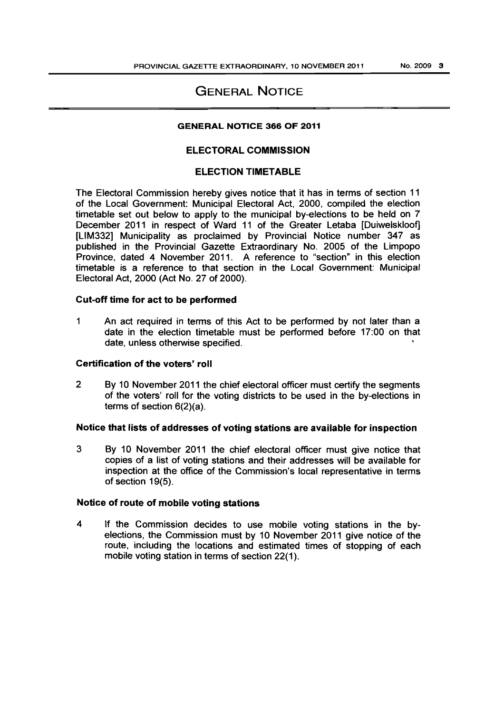# GENERAL NOTICE

#### GENERAL NOTICE 366 OF 2011

### ELECTORAL COMMISSION

### ELECTION TIMETABLE

The Electoral Commission hereby gives notice that it has in terms of section 11 of the Local Government: Municipal Electoral Act, 2000, compiled the election timetable set out below to apply to the municipal by-elections to be held on 7 December 2011 in respect of Ward 11 of the Greater Letaba [Duiwelskloof] [LlM332] Municipality as proclaimed by Provincial Notice number 347 as published in the Provincial Gazette Extraordinary No. 2005 of the Limpopo Province, dated 4 November 2011. A reference to "section" in this election timetable is a reference to that section in the Local Government: Municipal Electoral Act, 2000 (Act No. 27 of 2000).

#### Cut-off time for act to be performed

1 An act required in terms of this Act to be performed by not later than a date in the election timetable must be performed before 17:00 on that date, unless otherwise specified.

#### Certification of the voters' roll

2 By 10 November 2011 the chief electoral officer must certify the segments of the voters' roll for the voting districts to be used in the by-elections in terms of section 6(2)(a).

#### Notice that lists of addresses of voting stations are available for inspection

3 By 10 November 2011 the chief electoral officer must give notice that copies of a list of voting stations and their addresses will be available for inspection at the office of the Commission's local representative in terms of section 19(5).

## Notice of route of mobile voting stations

4 If the Commission decides to use mobile voting stations in the byelections, the Commission must by 10 November 2011 give notice of the route, including the locations and estimated times of stopping of each mobile voting station in terms of section 22(1).